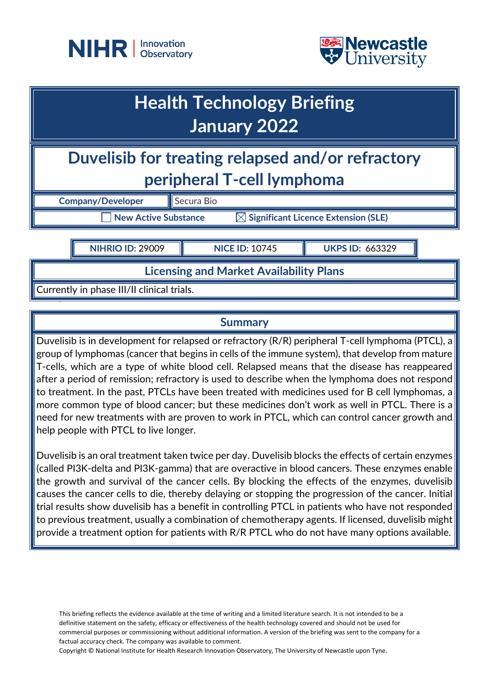



# **Health Technology Briefing January 2022**

**Duvelisib for treating relapsed and/or refractory peripheral T-cell lymphoma**

**Company/Developer** Secura Bio

 $\overline{\phantom{x}}$  New Active Substance  $\overline{\phantom{x}}$  Significant Licence Extension (SLE)

**NIHRIO ID:** 29009 **NICE ID:** 10745 **UKPS ID:** 663329

**Licensing and Market Availability Plans**

Currently in phase III/II clinical trials.

## **Summary**

Duvelisib is in development for relapsed or refractory (R/R) peripheral T-cell lymphoma (PTCL), a group of lymphomas (cancer that begins in cells of the immune system), that develop from mature T-cells, which are a type of white blood cell. Relapsed means that the disease has reappeared after a period of remission; refractory is used to describe when the lymphoma does not respond to treatment. In the past, PTCLs have been treated with medicines used for B cell lymphomas, a more common type of blood cancer; but these medicines don't work as well in PTCL. There is a need for new treatments with are proven to work in PTCL, which can control cancer growth and help people with PTCL to live longer.

Duvelisib is an oral treatment taken twice per day. Duvelisib blocks the effects of certain enzymes (called PI3K-delta and PI3K-gamma) that are overactive in blood cancers. These enzymes enable the growth and survival of the cancer cells. By blocking the effects of the enzymes, duvelisib causes the cancer cells to die, thereby delaying or stopping the progression of the cancer. Initial trial results show duvelisib has a benefit in controlling PTCL in patients who have not responded to previous treatment, usually a combination of chemotherapy agents. If licensed, duvelisib might provide a treatment option for patients with R/R PTCL who do not have many options available.

This briefing reflects the evidence available at the time of writing and a limited literature search. It is not intended to be a definitive statement on the safety, efficacy or effectiveness of the health technology covered and should not be used for commercial purposes or commissioning without additional information. A version of the briefing was sent to the company for a factual accuracy check. The company was available to comment.

Copyright © National Institute for Health Research Innovation Observatory, The University of Newcastle upon Tyne.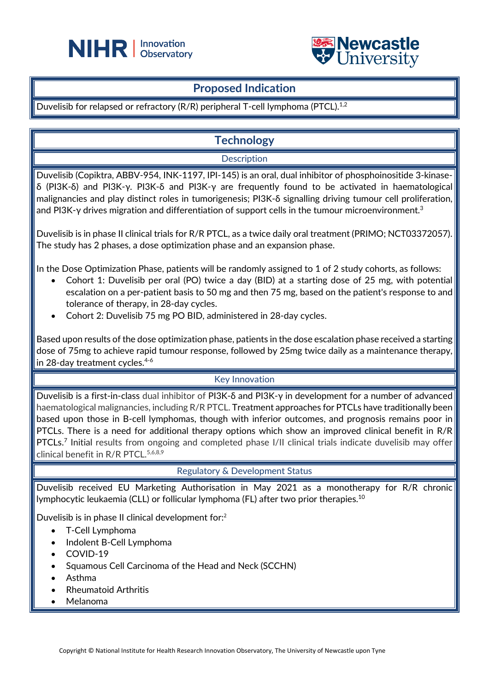



## **Proposed Indication**

Duvelisib for relapsed or refractory (R/R) peripheral T-cell lymphoma (PTCL).<sup>1,2</sup>

## **Technology**

Description

Duvelisib (Copiktra, ABBV-954, INK-1197, IPI-145) is an oral, dual inhibitor of phosphoinositide 3-kinaseδ (PI3K-δ) and PI3K-γ. PI3K-δ and PI3K-γ are frequently found to be activated in haematological malignancies and play distinct roles in tumorigenesis; PI3K-δ signalling driving tumour cell proliferation, and PI3K-γ drives migration and differentiation of support cells in the tumour microenvironment. $^3$ 

Duvelisib is in phase II clinical trials for R/R PTCL, as a twice daily oral treatment [\(PRIMO;](http://clinicaltrials.gov/show/NCT03372057) NCT03372057). The study has 2 phases, a dose optimization phase and an expansion phase.

In the Dose Optimization Phase, patients will be randomly assigned to 1 of 2 study cohorts, as follows:

- Cohort 1: Duvelisib per oral (PO) twice a day (BID) at a starting dose of 25 mg, with potential escalation on a per-patient basis to 50 mg and then 75 mg, based on the patient's response to and tolerance of therapy, in 28-day cycles.
- Cohort 2: Duvelisib 75 mg PO BID, administered in 28-day cycles.

Based upon results of the dose optimization phase, patients in the dose escalation phase received a starting dose of 75mg to achieve rapid tumour response, followed by 25mg twice daily as a maintenance therapy, in 28-day treatment cycles.<sup>4-6</sup>

## Key Innovation

Duvelisib is a first-in-class dual inhibitor of PI3K-δ and PI3K-γ in development for a number of advanced haematological malignancies, including R/R PTCL. Treatment approaches for PTCLs have traditionally been based upon those in B-cell lymphomas, though with inferior outcomes, and prognosis remains poor in PTCLs. There is a need for additional therapy options which show an improved clinical benefit in  $R/R$ PTCLs.<sup>7</sup> Initial results from ongoing and completed phase I/II clinical trials indicate duvelisib may offer clinical benefit in R/R PTCL.<sup>5,6,8,9</sup>

#### Regulatory & Development Status

Duvelisib received EU Marketing Authorisation in May 2021 as a monotherapy for R/R chronic lymphocytic leukaemia (CLL) or follicular lymphoma (FL) after two prior therapies.10

Duvelisib is in phase II clinical development for:<sup>2</sup>

- T-Cell Lymphoma
- Indolent B-Cell Lymphoma
- COVID-19
- Squamous Cell Carcinoma of the Head and Neck (SCCHN)
- Asthma
- Rheumatoid Arthritis
- Melanoma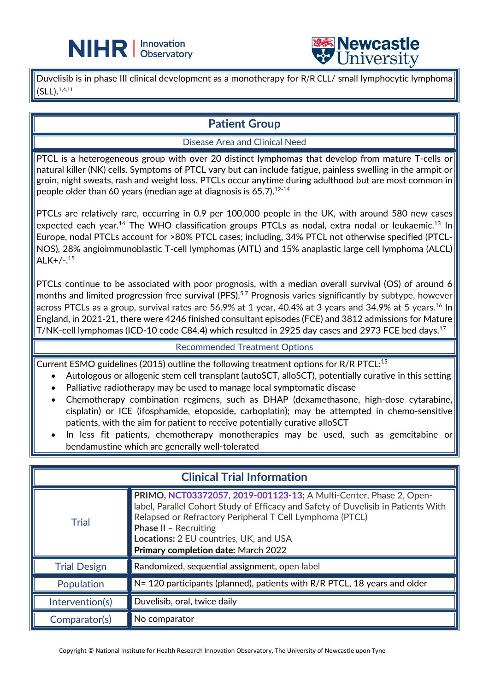

Duvelisib is in phase III clinical development as a monotherapy for R/R CLL/ small lymphocytic lymphoma (SLL). 1,4,11

L

## **Patient Group**

### Disease Area and Clinical Need

PTCL is a heterogeneous group with over 20 distinct lymphomas that develop from mature T-cells or natural killer (NK) cells. Symptoms of PTCL vary but can include fatigue, painless swelling in the armpit or groin, night sweats, rash and weight loss. PTCLs occur anytime during adulthood but are most common in people older than 60 years (median age at diagnosis is  $65.7$ ).<sup>12-14</sup>

PTCLs are relatively rare, occurring in 0.9 per 100,000 people in the UK, with around 580 new cases expected each year.<sup>14</sup> The WHO classification groups PTCLs as nodal, extra nodal or leukaemic.<sup>13</sup> In Europe, nodal PTCLs account for >80% PTCL cases; including, 34% PTCL not otherwise specified (PTCL-NOS), 28% angioimmunoblastic T-cell lymphomas (AITL) and 15% anaplastic large cell lymphoma (ALCL) ALK+/-. 15

PTCLs continue to be associated with poor prognosis, with a median overall survival (OS) of around 6 months and limited progression free survival (PFS).<sup>5,7</sup> Prognosis varies significantly by subtype, however across PTCLs as a group, survival rates are 56.9% at 1 year, 40.4% at 3 years and 34.9% at 5 years.<sup>16</sup> In England, in 2021-21, there were 4246 finished consultant episodes (FCE) and 3812 admissions for Mature T/NK-cell lymphomas (ICD-10 code C84.4) which resulted in 2925 day cases and 2973 FCE bed days.17

#### Recommended Treatment Options

Current ESMO guidelines (2015) outline the following treatment options for R/R PTCL:15

- Autologous or allogenic stem cell transplant (autoSCT, alloSCT), potentially curative in this setting
- Palliative radiotherapy may be used to manage local symptomatic disease
- Chemotherapy combination regimens, such as DHAP (dexamethasone, high-dose cytarabine, cisplatin) or ICE (ifosphamide, etoposide, carboplatin); may be attempted in chemo-sensitive patients, with the aim for patient to receive potentially curative alloSCT
- In less fit patients, chemotherapy monotherapies may be used, such as gemcitabine or bendamustine which are generally well-tolerated

| <b>Clinical Trial Information</b> |                                                                                                                                                                                                                                                                                                                                      |
|-----------------------------------|--------------------------------------------------------------------------------------------------------------------------------------------------------------------------------------------------------------------------------------------------------------------------------------------------------------------------------------|
| <b>Trial</b>                      | PRIMO, NCT03372057, 2019-001123-13; A Multi-Center, Phase 2, Open-<br>label, Parallel Cohort Study of Efficacy and Safety of Duvelisib in Patients With<br>Relapsed or Refractory Peripheral T Cell Lymphoma (PTCL)<br><b>Phase II - Recruiting</b><br>Locations: 2 EU countries, UK, and USA<br>Primary completion date: March 2022 |
| <b>Trial Design</b>               | Randomized, sequential assignment, open label                                                                                                                                                                                                                                                                                        |
| Population                        | N= 120 participants (planned), patients with R/R PTCL, 18 years and older                                                                                                                                                                                                                                                            |
| Intervention(s)                   | Duvelisib, oral, twice daily                                                                                                                                                                                                                                                                                                         |
| Comparator(s)                     | No comparator                                                                                                                                                                                                                                                                                                                        |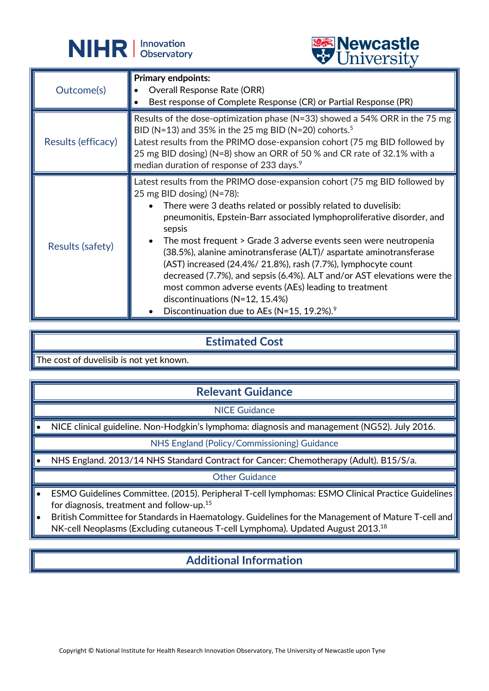



|                    | <b>CHITACTOTA</b>                                                                                                                                                                                                                                                                                                                                                                                                                                                                                                                                                                                                                                                                                            |
|--------------------|--------------------------------------------------------------------------------------------------------------------------------------------------------------------------------------------------------------------------------------------------------------------------------------------------------------------------------------------------------------------------------------------------------------------------------------------------------------------------------------------------------------------------------------------------------------------------------------------------------------------------------------------------------------------------------------------------------------|
| Outcome(s)         | <b>Primary endpoints:</b><br><b>Overall Response Rate (ORR)</b><br>$\bullet$<br>Best response of Complete Response (CR) or Partial Response (PR)                                                                                                                                                                                                                                                                                                                                                                                                                                                                                                                                                             |
| Results (efficacy) | Results of the dose-optimization phase ( $N=33$ ) showed a 54% ORR in the 75 mg<br>BID (N=13) and 35% in the 25 mg BID (N=20) cohorts. <sup>5</sup><br>Latest results from the PRIMO dose-expansion cohort (75 mg BID followed by<br>25 mg BID dosing) (N=8) show an ORR of 50 % and CR rate of 32.1% with a<br>median duration of response of 233 days. <sup>9</sup>                                                                                                                                                                                                                                                                                                                                        |
| Results (safety)   | Latest results from the PRIMO dose-expansion cohort (75 mg BID followed by<br>25 mg BID dosing) ( $N=78$ ):<br>There were 3 deaths related or possibly related to duvelisib:<br>pneumonitis, Epstein-Barr associated lymphoproliferative disorder, and<br>sepsis<br>The most frequent > Grade 3 adverse events seen were neutropenia<br>(38.5%), alanine aminotransferase (ALT)/ aspartate aminotransferase<br>(AST) increased (24.4%/ 21.8%), rash (7.7%), lymphocyte count<br>decreased (7.7%), and sepsis (6.4%). ALT and/or AST elevations were the<br>most common adverse events (AEs) leading to treatment<br>discontinuations (N=12, 15.4%)<br>Discontinuation due to AEs (N=15, 19.2%). <sup>9</sup> |

## **Estimated Cost**

The cost of duvelisib is not yet known.

## **Relevant Guidance**

NICE Guidance

• NICE clinical guideline. Non-Hodgkin's lymphoma: diagnosis and management (NG52). July 2016.

NHS England (Policy/Commissioning) Guidance

• NHS England. 2013/14 NHS Standard Contract for Cancer: Chemotherapy (Adult). B15/S/a.

Other Guidance

- ESMO Guidelines Committee. (2015). Peripheral T-cell lymphomas: ESMO Clinical Practice Guidelines for diagnosis, treatment and follow-up.15
- British Committee for Standards in Haematology. Guidelines for the Management of Mature T-cell and NK-cell Neoplasms (Excluding cutaneous T-cell Lymphoma). Updated August 2013.<sup>18</sup>

# **Additional Information**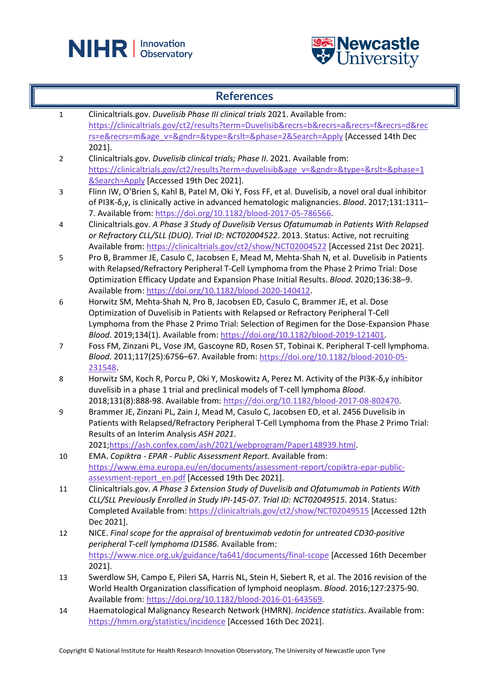



#### **References**

1 Clinicaltrials.gov. *Duvelisib Phase III clinical trials* 2021. Available from: [https://clinicaltrials.gov/ct2/results?term=Duvelisib&recrs=b&recrs=a&recrs=f&recrs=d&rec](https://clinicaltrials.gov/ct2/results?term=Duvelisib&recrs=b&recrs=a&recrs=f&recrs=d&recrs=e&recrs=m&age_v=&gndr=&type=&rslt=&phase=2&Search=Apply) [rs=e&recrs=m&age\\_v=&gndr=&type=&rslt=&phase=2&Search=Apply](https://clinicaltrials.gov/ct2/results?term=Duvelisib&recrs=b&recrs=a&recrs=f&recrs=d&recrs=e&recrs=m&age_v=&gndr=&type=&rslt=&phase=2&Search=Apply) [Accessed 14th Dec 2021]. 2 Clinicaltrials.gov. *Duvelisib clinical trials; Phase II*. 2021. Available from: [https://clinicaltrials.gov/ct2/results?term=duvelisib&age\\_v=&gndr=&type=&rslt=&phase=1](https://clinicaltrials.gov/ct2/results?term=duvelisib&age_v=&gndr=&type=&rslt=&phase=1&Search=Apply) [&Search=Apply](https://clinicaltrials.gov/ct2/results?term=duvelisib&age_v=&gndr=&type=&rslt=&phase=1&Search=Apply) [Accessed 19th Dec 2021]. 3 Flinn IW, O'Brien S, Kahl B, Patel M, Oki Y, Foss FF, et al. Duvelisib, a novel oral dual inhibitor of PI3K-δ,γ, is clinically active in advanced hematologic malignancies. *Blood*. 2017;131:1311– 7. Available from: [https://doi.org/10.1182/blood-2017-05-786566.](https://doi.org/10.1182/blood-2017-05-786566) 4 Clinicaltrials.gov. *A Phase 3 Study of Duvelisib Versus Ofatumumab in Patients With Relapsed or Refractory CLL/SLL (DUO)*. *Trial ID: NCT02004522*. 2013. Status: Active, not recruiting Available from:<https://clinicaltrials.gov/ct2/show/NCT02004522> [Accessed 21st Dec 2021]. 5 Pro B, Brammer JE, Casulo C, Jacobsen E, Mead M, Mehta-Shah N, et al. Duvelisib in Patients with Relapsed/Refractory Peripheral T-Cell Lymphoma from the Phase 2 Primo Trial: Dose Optimization Efficacy Update and Expansion Phase Initial Results. *Blood*. 2020;136:38–9. Available from: [https://doi.org/10.1182/blood-2020-140412.](https://doi.org/10.1182/blood-2020-140412) 6 Horwitz SM, Mehta-Shah N, Pro B, Jacobsen ED, Casulo C, Brammer JE, et al. Dose Optimization of Duvelisib in Patients with Relapsed or Refractory Peripheral T-Cell Lymphoma from the Phase 2 Primo Trial: Selection of Regimen for the Dose-Expansion Phase *Blood*. 2019;134(1). Available from[: https://doi.org/10.1182/blood-2019-121401.](https://doi.org/10.1182/blood-2019-121401) 7 Foss FM, Zinzani PL, Vose JM, Gascoyne RD, Rosen ST, Tobinai K. Peripheral T-cell lymphoma. *Blood*. 2011;117(25):6756–67. Available from: [https://doi.org/10.1182/blood-2010-05-](https://doi.org/10.1182/blood-2010-05-231548) [231548.](https://doi.org/10.1182/blood-2010-05-231548) 8 Horwitz SM, Koch R, Porcu P, Oki Y, Moskowitz A, Perez M. Activity of the PI3K-δ,γ inhibitor duvelisib in a phase 1 trial and preclinical models of T-cell lymphoma *Blood*. 2018;131(8):888-98. Available from: [https://doi.org/10.1182/blood-2017-08-802470.](https://doi.org/10.1182/blood-2017-08-802470) 9 Brammer JE, Zinzani PL, Zain J, Mead M, Casulo C, Jacobsen ED, et al. 2456 Duvelisib in Patients with Relapsed/Refractory Peripheral T-Cell Lymphoma from the Phase 2 Primo Trial: Results of an Interim Analysis *ASH 2021*. 2021[;https://ash.confex.com/ash/2021/webprogram/Paper148939.html.](https://ash.confex.com/ash/2021/webprogram/Paper148939.html) 10 EMA. *Copiktra - EPAR - Public Assessment Report*. Available from: [https://www.ema.europa.eu/en/documents/assessment-report/copiktra-epar-public](https://www.ema.europa.eu/en/documents/assessment-report/copiktra-epar-public-assessment-report_en.pdf)[assessment-report\\_en.pdf](https://www.ema.europa.eu/en/documents/assessment-report/copiktra-epar-public-assessment-report_en.pdf) [Accessed 19th Dec 2021]. 11 Clinicaltrials.gov. *A Phase 3 Extension Study of Duvelisib and Ofatumumab in Patients With CLL/SLL Previously Enrolled in Study IPI-145-07*. *Trial ID: NCT02049515*. 2014. Status: Completed Available from:<https://clinicaltrials.gov/ct2/show/NCT02049515> [Accessed 12th Dec 2021]. 12 NICE. *Final scope for the appraisal of brentuximab vedotin for untreated CD30-positive peripheral T-cell lymphoma ID1586.* Available from: <https://www.nice.org.uk/guidance/ta641/documents/final-scope> [Accessed 16th December 2021]. 13 Swerdlow SH, Campo E, Pileri SA, Harris NL, Stein H, Siebert R, et al. The 2016 revision of the World Health Organization classification of lymphoid neoplasm. *Blood*. 2016;127:2375-90. Available from: [https://doi.org/10.1182/blood-2016-01-643569.](https://doi.org/10.1182/blood-2016-01-643569) 14 Haematological Malignancy Research Network (HMRN). *Incidence statistics*. Available from: <https://hmrn.org/statistics/incidence> [Accessed 16th Dec 2021].